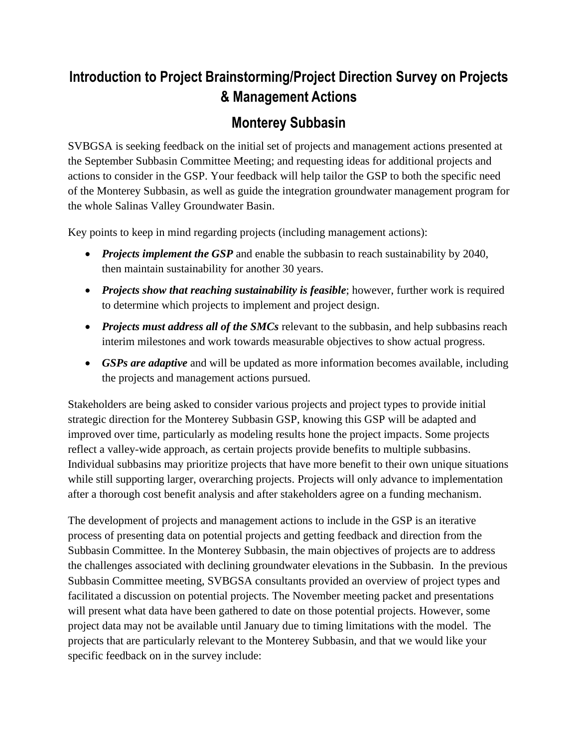## **Introduction to Project Brainstorming/Project Direction Survey on Projects & Management Actions**

## **Monterey Subbasin**

SVBGSA is seeking feedback on the initial set of projects and management actions presented at the September Subbasin Committee Meeting; and requesting ideas for additional projects and actions to consider in the GSP. Your feedback will help tailor the GSP to both the specific need of the Monterey Subbasin, as well as guide the integration groundwater management program for the whole Salinas Valley Groundwater Basin.

Key points to keep in mind regarding projects (including management actions):

- *Projects implement the GSP* and enable the subbasin to reach sustainability by 2040, then maintain sustainability for another 30 years.
- *Projects show that reaching sustainability is feasible*; however, further work is required to determine which projects to implement and project design.
- *Projects must address all of the SMCs* relevant to the subbasin, and help subbasins reach interim milestones and work towards measurable objectives to show actual progress.
- *GSPs are adaptive* and will be updated as more information becomes available, including the projects and management actions pursued.

Stakeholders are being asked to consider various projects and project types to provide initial strategic direction for the Monterey Subbasin GSP, knowing this GSP will be adapted and improved over time, particularly as modeling results hone the project impacts. Some projects reflect a valley-wide approach, as certain projects provide benefits to multiple subbasins. Individual subbasins may prioritize projects that have more benefit to their own unique situations while still supporting larger, overarching projects. Projects will only advance to implementation after a thorough cost benefit analysis and after stakeholders agree on a funding mechanism.

The development of projects and management actions to include in the GSP is an iterative process of presenting data on potential projects and getting feedback and direction from the Subbasin Committee. In the Monterey Subbasin, the main objectives of projects are to address the challenges associated with declining groundwater elevations in the Subbasin. In the previous Subbasin Committee meeting, SVBGSA consultants provided an overview of project types and facilitated a discussion on potential projects. The November meeting packet and presentations will present what data have been gathered to date on those potential projects. However, some project data may not be available until January due to timing limitations with the model. The projects that are particularly relevant to the Monterey Subbasin, and that we would like your specific feedback on in the survey include: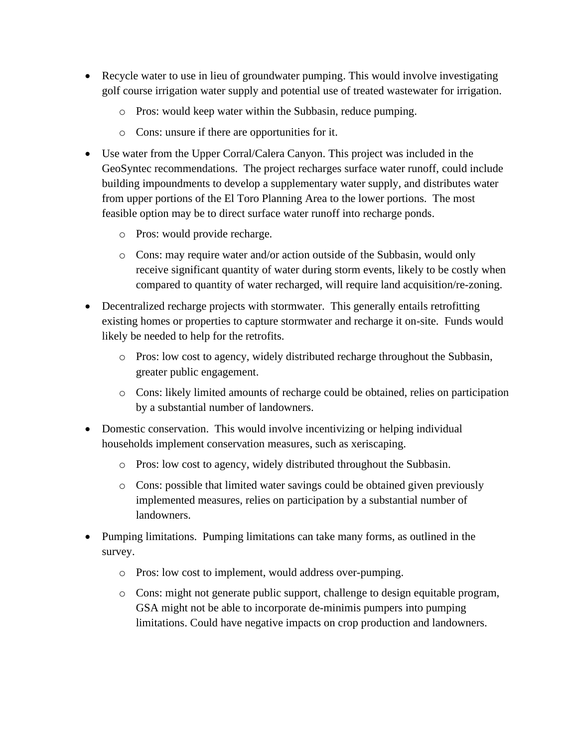- Recycle water to use in lieu of groundwater pumping. This would involve investigating golf course irrigation water supply and potential use of treated wastewater for irrigation.
	- o Pros: would keep water within the Subbasin, reduce pumping.
	- o Cons: unsure if there are opportunities for it.
- Use water from the Upper Corral/Calera Canyon. This project was included in the GeoSyntec recommendations. The project recharges surface water runoff, could include building impoundments to develop a supplementary water supply, and distributes water from upper portions of the El Toro Planning Area to the lower portions. The most feasible option may be to direct surface water runoff into recharge ponds.
	- o Pros: would provide recharge.
	- o Cons: may require water and/or action outside of the Subbasin, would only receive significant quantity of water during storm events, likely to be costly when compared to quantity of water recharged, will require land acquisition/re-zoning.
- Decentralized recharge projects with stormwater. This generally entails retrofitting existing homes or properties to capture stormwater and recharge it on-site. Funds would likely be needed to help for the retrofits.
	- o Pros: low cost to agency, widely distributed recharge throughout the Subbasin, greater public engagement.
	- o Cons: likely limited amounts of recharge could be obtained, relies on participation by a substantial number of landowners.
- Domestic conservation. This would involve incentivizing or helping individual households implement conservation measures, such as xeriscaping.
	- o Pros: low cost to agency, widely distributed throughout the Subbasin.
	- o Cons: possible that limited water savings could be obtained given previously implemented measures, relies on participation by a substantial number of landowners.
- Pumping limitations. Pumping limitations can take many forms, as outlined in the survey.
	- o Pros: low cost to implement, would address over-pumping.
	- o Cons: might not generate public support, challenge to design equitable program, GSA might not be able to incorporate de-minimis pumpers into pumping limitations. Could have negative impacts on crop production and landowners.